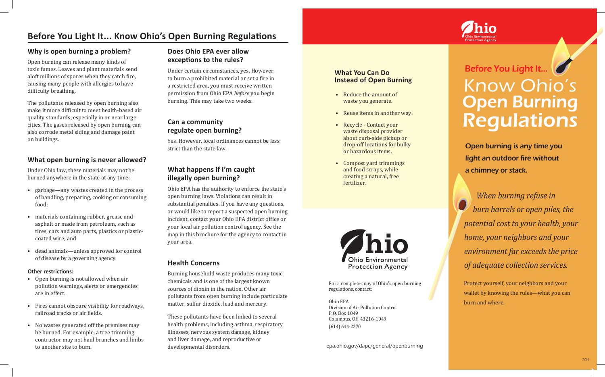# **Before You Light It... Know Ohio's Open Burning Regulations**

#### **Why is open burning a problem?**

Open burning can release many kinds of toxic fumes. Leaves and plant materials send aloft millions of spores when they catch fire, causing many people with allergies to have difficulty breathing.

The pollutants released by open burning also make it more difficult to meet health-based air quality standards, especially in or near large cities. The gases released by open burning can also corrode metal siding and damage paint on buildings.

#### **What open burning is never allowed?**

Under Ohio law, these materials may not be burned anywhere in the state at any time:

- garbage—any wastes created in the process of handling, preparing, cooking or consuming food;
- materials containing rubber, grease and asphalt or made from petroleum, such as tires, cars and auto parts, plastics or plasticcoated wire; and
- dead animals—unless approved for control of disease by a governing agency.

#### **Other restrictions:**

- Open burning is not allowed when air pollution warnings, alerts or emergencies are in effect.
- Fires cannot obscure visibility for roadways, railroad tracks or air fields.
- No wastes generated off the premises may be burned. For example, a tree trimming contractor may not haul branches and limbs to another site to burn.

# **Does Ohio EPA ever allow exceptions to the rules?**

Under certain circumstances, yes. However, to burn a prohibited material or set a fire in a restricted area, you must receive written permission from Ohio EPA *before* you begin burning. This may take two weeks.

# **Can a community regulate open burning?**

Yes. However, local ordinances cannot be less strict than the state law.

## **What happens if I'm caught illegally open burning?**

Ohio EPA has the authority to enforce the state's open burning laws. Violations can result in substantial penalties. If you have any questions, or would like to report a suspected open burning incident, contact your Ohio EPA district office or your local air pollution control agency. See the map in this brochure for the agency to contact in your area.

#### **Health Concerns**

Burning household waste produces many toxic chemicals and is one of the largest known sources of dioxin in the nation. Other air pollutants from open burning include particulate matter, sulfur dioxide, lead and mercury.

These pollutants have been linked to several health problems, including asthma, respiratory illnesses, nervous system damage, kidney and liver damage, and reproductive or developmental disorders.

#### **What You Can Do Instead of Open Burning**

- Reduce the amount of waste you generate.
- Reuse items in another way.
- Recycle Contact your waste disposal provider about curb-side pickup or drop-off locations for bulky or hazardous items.
- Compost yard trimmings and food scraps, while creating a natural, free fertilizer.



For a complete copy of Ohio's open burning regulations, contact:

Ohio EPA Division of Air Pollution Control P.O. Box 1049 Columbus, OH 43216-1049 (614) 644-2270



Open burning is any time you light an outdoor fire without a chimney or stack.

 *When burning refuse in burn barrels or open piles, the potential cost to your health, your home, your neighbors and your environment far exceeds the price of adequate collection services.*

Protect yourself, your neighbors and your wallet by knowing the rules—what you can burn and where.